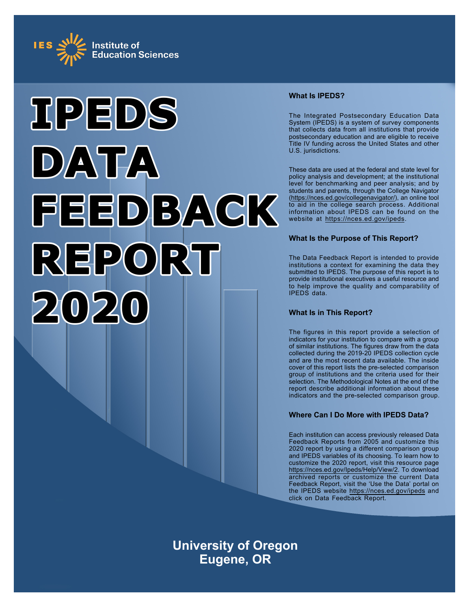



### **What Is IPEDS?**

The Integrated Postsecondary Education Data System (IPEDS) is a system of survey components that collects data from all institutions that provide postsecondary education and are eligible to receive Title IV funding across the United States and other U.S. jurisdictions.

These data are used at the federal and state level for policy analysis and development; at the institutional level for benchmarking and peer analysis; and by students and parents, through the College Navigator ([https://nces.ed.gov/collegenavigator/\)](https://nces.ed.gov/collegenavigator/), an online tool to aid in the college search process. Additional information about IPEDS can be found on the website at<https://nces.ed.gov/ipeds>.

#### **What Is the Purpose of This Report?**

The Data Feedback Report is intended to provide institutions a context for examining the data they submitted to IPEDS. The purpose of this report is to provide institutional executives a useful resource and to help improve the quality and comparability of IPEDS data.

## **What Is in This Report?**

The figures in this report provide a selection of indicators for your institution to compare with a group of similar institutions. The figures draw from the data collected during the 2019-20 IPEDS collection cycle and are the most recent data available. The inside cover of this report lists the pre-selected comparison group of institutions and the criteria used for their selection. The Methodological Notes at the end of the report describe additional information about these indicators and the pre-selected comparison group.

## **Where Can I Do More with IPEDS Data?**

Each institution can access previously released Data Feedback Reports from 2005 and customize this 2020 report by using a different comparison group and IPEDS variables of its choosing. To learn how to customize the 2020 report, visit this resource page <https://nces.ed.gov/Ipeds/Help/View/2>. To download archived reports or customize the current Data Feedback Report, visit the 'Use the Data' portal on the IPEDS website<https://nces.ed.gov/ipeds> and click on Data Feedback Report.

**University of Oregon Eugene, OR**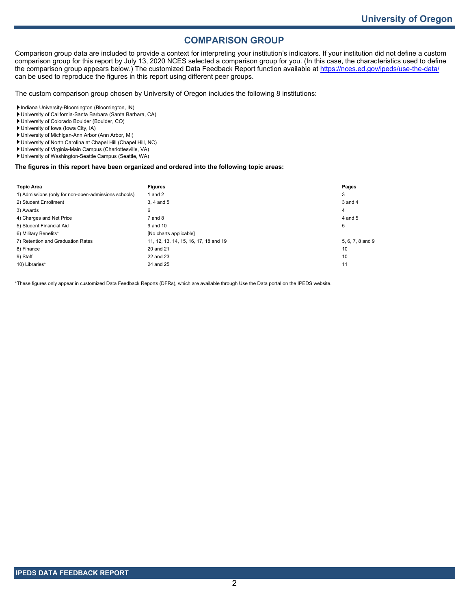## **COMPARISON GROUP**

Comparison group data are included to provide a context for interpreting your institution's indicators. If your institution did not define a custom comparison group for this report by July 13, 2020 NCES selected a comparison group for you. (In this case, the characteristics used to define the comparison group appears below.) The customized Data Feedback Report function available at<https://nces.ed.gov/ipeds/use-the-data/> can be used to reproduce the figures in this report using different peer groups.

The custom comparison group chosen by University of Oregon includes the following 8 institutions:

**Indiana University-Bloomington (Bloomington, IN)** 

- University of California-Santa Barbara (Santa Barbara, CA)
- University of Colorado Boulder (Boulder, CO)
- University of Iowa (Iowa City, IA)
- University of Michigan-Ann Arbor (Ann Arbor, MI)
- University of North Carolina at Chapel Hill (Chapel Hill, NC)
- University of Virginia-Main Campus (Charlottesville, VA)
- University of Washington-Seattle Campus (Seattle, WA)

#### **The figures in this report have been organized and ordered into the following topic areas:**

| <b>Topic Area</b>                                    | <b>Figures</b>                        | Pages            |
|------------------------------------------------------|---------------------------------------|------------------|
| 1) Admissions (only for non-open-admissions schools) | 1 and $2$                             | 3                |
| 2) Student Enrollment                                | 3.4 and 5                             | 3 and 4          |
| 3) Awards                                            | 6                                     | 4                |
| 4) Charges and Net Price                             | $7$ and $8$                           | 4 and 5          |
| 5) Student Financial Aid                             | 9 and 10                              | 5                |
| 6) Military Benefits*                                | [No charts applicable]                |                  |
| 7) Retention and Graduation Rates                    | 11, 12, 13, 14, 15, 16, 17, 18 and 19 | 5, 6, 7, 8 and 9 |
| 8) Finance                                           | 20 and 21                             | 10               |
| 9) Staff                                             | 22 and 23                             | 10               |
| 10) Libraries*                                       | 24 and 25                             | 11               |

\*These figures only appear in customized Data Feedback Reports (DFRs), which are available through Use the Data portal on the IPEDS website.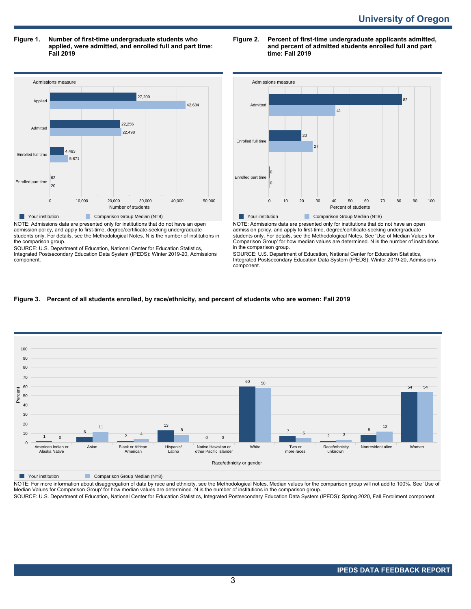**Figure 1. Number of first-time undergraduate students who applied, were admitted, and enrolled full and part time: Fall 2019**



admission policy, and apply to first-time, degree/certificate-seeking undergraduate students only. For details, see the Methodological Notes. N is the number of institutions in the comparison group.

SOURCE: U.S. Department of Education, National Center for Education Statistics, Integrated Postsecondary Education Data System (IPEDS): Winter 2019-20, Admissions component.

#### **Figure 2. Percent of first-time undergraduate applicants admitted, and percent of admitted students enrolled full and part time: Fall 2019**



NOTE: Admissions data are presented only for institutions that do not have an open admission policy, and apply to first-time, degree/certificate-seeking undergraduate students only. For details, see the Methodological Notes. See 'Use of Median Values for Comparison Group' for how median values are determined. N is the number of institutions in the comparison group.

SOURCE: U.S. Department of Education, National Center for Education Statistics, Integrated Postsecondary Education Data System (IPEDS): Winter 2019-20, Admissions component.

## **Figure 3. Percent of all students enrolled, by race/ethnicity, and percent of students who are women: Fall 2019**



Your institution Comparison Group Median (N=8)

NOTE: For more information about disaggregation of data by race and ethnicity, see the Methodological Notes. Median values for the comparison group will not add to 100%. See 'Use of Median Values for Comparison Group' for how median values are determined. N is the number of institutions in the comparison group.

SOURCE: U.S. Department of Education, National Center for Education Statistics, Integrated Postsecondary Education Data System (IPEDS): Spring 2020, Fall Enrollment component.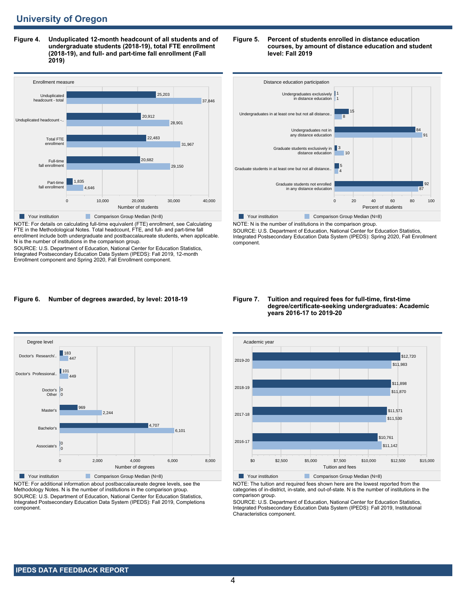**Figure 4. Unduplicated 12-month headcount of all students and of undergraduate students (2018-19), total FTE enrollment (2018-19), and full- and part-time fall enrollment (Fall 2019)**



NOTE: For details on calculating full-time equivalent (FTE) enrollment, see Calculating FTE in the Methodological Notes. Total headcount, FTE, and full- and part-time fall enrollment include both undergraduate and postbaccalaureate students, when applicable. N is the number of institutions in the comparison group.

SOURCE: U.S. Department of Education, National Center for Education Statistics, Integrated Postsecondary Education Data System (IPEDS): Fall 2019, 12-month Enrollment component and Spring 2020, Fall Enrollment component.

#### **Figure 5. Percent of students enrolled in distance education courses, by amount of distance education and student level: Fall 2019**



NOTE: N is the number of institutions in the comparison group. SOURCE: U.S. Department of Education, National Center for Education Statistics, Integrated Postsecondary Education Data System (IPEDS): Spring 2020, Fall Enrollment component.

#### **Figure 6. Number of degrees awarded, by level: 2018-19**



NOTE: For additional information about postbaccalaureate degree levels, see the Methodology Notes. N is the number of institutions in the comparison group. SOURCE: U.S. Department of Education, National Center for Education Statistics, Integrated Postsecondary Education Data System (IPEDS): Fall 2019, Completions component.

#### **Figure 7. Tuition and required fees for full-time, first-time degree/certificate-seeking undergraduates: Academic years 2016-17 to 2019-20**



NOTE: The tuition and required fees shown here are the lowest reported from the categories of in-district, in-state, and out-of-state. N is the number of institutions in the comparison group.

SOURCE: U.S. Department of Education, National Center for Education Statistics, Integrated Postsecondary Education Data System (IPEDS): Fall 2019, Institutional Characteristics component.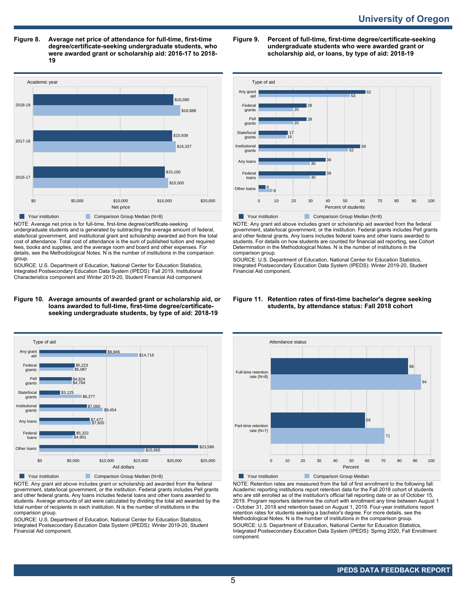**Figure 8. Average net price of attendance for full-time, first-time degree/certificate-seeking undergraduate students, who were awarded grant or scholarship aid: 2016-17 to 2018- 19**



NOTE: Average net price is for full-time, first-time degree/certificate-seeking undergraduate students and is generated by subtracting the average amount of federal, state/local government, and institutional grant and scholarship awarded aid from the total cost of attendance. Total cost of attendance is the sum of published tuition and required fees, books and supplies, and the average room and board and other expenses. For details, see the Methodological Notes. N is the number of institutions in the comparison group.

SOURCE: U.S. Department of Education, National Center for Education Statistics, Integrated Postsecondary Education Data System (IPEDS): Fall 2019, Institutional Characteristics component and Winter 2019-20, Student Financial Aid component.

#### **Figure 10. Average amounts of awarded grant or scholarship aid, or loans awarded to full-time, first-time degree/certificateseeking undergraduate students, by type of aid: 2018-19**



NOTE: Any grant aid above includes grant or scholarship aid awarded from the federal government, state/local government, or the institution. Federal grants includes Pell grants and other federal grants. Any loans includes federal loans and other loans awarded to students. Average amounts of aid were calculated by dividing the total aid awarded by the total number of recipients in each institution. N is the number of institutions in the comparison group.

SOURCE: U.S. Department of Education, National Center for Education Statistics, Integrated Postsecondary Education Data System (IPEDS): Winter 2019-20, Student Financial Aid component.

**Figure 9. Percent of full-time, first-time degree/certificate-seeking undergraduate students who were awarded grant or scholarship aid, or loans, by type of aid: 2018-19**



NOTE: Any grant aid above includes grant or scholarship aid awarded from the federal government, state/local government, or the institution. Federal grants includes Pell grants and other federal grants. Any loans includes federal loans and other loans awarded to students. For details on how students are counted for financial aid reporting, see Cohort Determination in the Methodological Notes. N is the number of institutions in the comparison group.

SOURCE: U.S. Department of Education, National Center for Education Statistics, Integrated Postsecondary Education Data System (IPEDS): Winter 2019-20, Student Financial Aid component.

#### **Figure 11. Retention rates of first-time bachelor's degree seeking students, by attendance status: Fall 2018 cohort**



NOTE: Retention rates are measured from the fall of first enrollment to the following fall. Academic reporting institutions report retention data for the Fall 2018 cohort of students who are still enrolled as of the institution's official fall reporting date or as of October 15, 2019. Program reporters determine the cohort with enrollment any time between August 1 - October 31, 2018 and retention based on August 1, 2019. Four-year institutions report retention rates for students seeking a bachelor's degree. For more details, see the Methodological Notes. N is the number of institutions in the comparison group. SOURCE: U.S. Department of Education, National Center for Education Statistics, Integrated Postsecondary Education Data System (IPEDS): Spring 2020, Fall Enrollment component.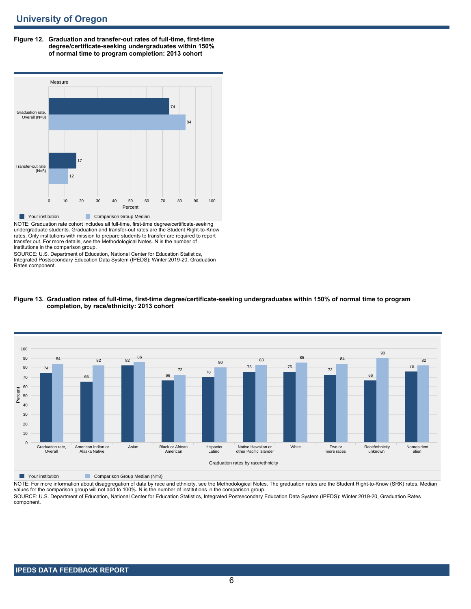**Figure 12. Graduation and transfer-out rates of full-time, first-time degree/certificate-seeking undergraduates within 150% of normal time to program completion: 2013 cohort**



NOTE: Graduation rate cohort includes all full-time, first-time degree/certificate-seeking undergraduate students. Graduation and transfer-out rates are the Student Right-to-Know rates. Only institutions with mission to prepare students to transfer are required to report transfer out. For more details, see the Methodological Notes. N is the number of institutions in the comparison group.

SOURCE: U.S. Department of Education, National Center for Education Statistics, Integrated Postsecondary Education Data System (IPEDS): Winter 2019-20, Graduation Rates component.



#### **Figure 13. Graduation rates of full-time, first-time degree/certificate-seeking undergraduates within 150% of normal time to program completion, by race/ethnicity: 2013 cohort**

Your institution Comparison Group Median (N=8)

NOTE: For more information about disaggregation of data by race and ethnicity, see the Methodological Notes. The graduation rates are the Student Right-to-Know (SRK) rates. Median values for the comparison group will not add to 100%. N is the number of institutions in the comparison group.

SOURCE: U.S. Department of Education, National Center for Education Statistics, Integrated Postsecondary Education Data System (IPEDS): Winter 2019-20, Graduation Rates component.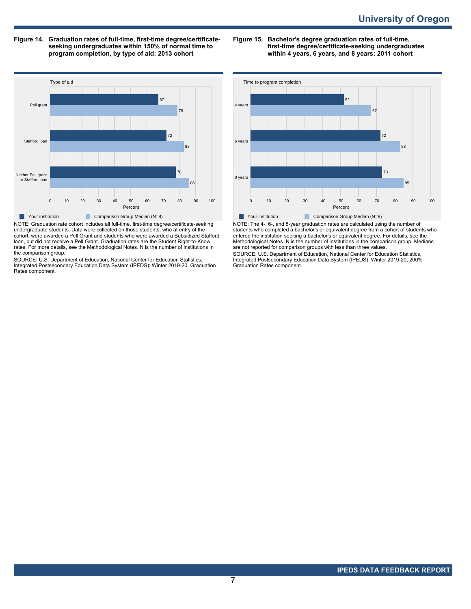**Figure 14. Graduation rates of full-time, first-time degree/certificateseeking undergraduates within 150% of normal time to program completion, by type of aid: 2013 cohort**

**Figure 15. Bachelor's degree graduation rates of full-time, first-time degree/certificate-seeking undergraduates within 4 years, 6 years, and 8 years: 2011 cohort**



NOTE: Graduation rate cohort includes all full-time, first-time degree/certificate-seeking undergraduate students. Data were collected on those students, who at entry of the cohort, were awarded a Pell Grant and students who were awarded a Subsidized Stafford loan, but did not receive a Pell Grant. Graduation rates are the Student Right-to-Know rates. For more details, see the Methodological Notes. N is the number of institutions in the comparison group.

SOURCE: U.S. Department of Education, National Center for Education Statistics, Integrated Postsecondary Education Data System (IPEDS): Winter 2019-20, Graduation Rates component.



NOTE: The 4-, 6-, and 8-year graduation rates are calculated using the number of students who completed a bachelor's or equivalent degree from a cohort of students who entered the institution seeking a bachelor's or equivalent degree. For details, see the Methodological Notes. N is the number of institutions in the comparison group. Medians are not reported for comparison groups with less than three values.

SOURCE: U.S. Department of Education, National Center for Education Statistics, Integrated Postsecondary Education Data System (IPEDS): Winter 2019-20, 200% Graduation Rates component.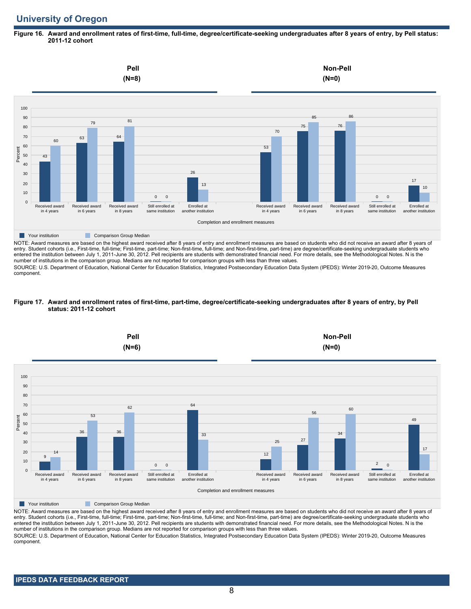# **University of Oregon**

#### **Figure 16. Award and enrollment rates of first-time, full-time, degree/certificate-seeking undergraduates after 8 years of entry, by Pell status: 2011-12 cohort**



NOTE: Award measures are based on the highest award received after 8 years of entry and enrollment measures are based on students who did not receive an award after 8 years of entry. Student cohorts (i.e., First-time, full-time; First-time, part-time; Non-first-time, full-time; and Non-first-time, part-time) are degree/certificate-seeking undergraduate students who entered the institution between July 1, 2011-June 30, 2012. Pell recipients are students with demonstrated financial need. For more details, see the Methodological Notes. N is the number of institutions in the comparison group. Medians are not reported for comparison groups with less than three values.

SOURCE: U.S. Department of Education, National Center for Education Statistics, Integrated Postsecondary Education Data System (IPEDS): Winter 2019-20, Outcome Measures component.

#### **Figure 17. Award and enrollment rates of first-time, part-time, degree/certificate-seeking undergraduates after 8 years of entry, by Pell status: 2011-12 cohort**



NOTE: Award measures are based on the highest award received after 8 years of entry and enrollment measures are based on students who did not receive an award after 8 years of entry. Student cohorts (i.e., First-time, full-time; First-time, part-time; Non-first-time, full-time; and Non-first-time, part-time) are degree/certificate-seeking undergraduate students who entered the institution between July 1, 2011-June 30, 2012. Pell recipients are students with demonstrated financial need. For more details, see the Methodological Notes. N is the number of institutions in the comparison group. Medians are not reported for comparison groups with less than three values. SOURCE: U.S. Department of Education, National Center for Education Statistics, Integrated Postsecondary Education Data System (IPEDS): Winter 2019-20, Outcome Measures component.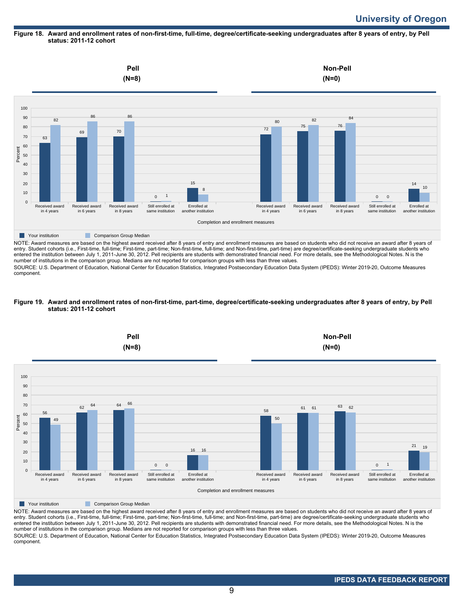#### **Figure 18. Award and enrollment rates of non-first-time, full-time, degree/certificate-seeking undergraduates after 8 years of entry, by Pell status: 2011-12 cohort**



entry. Student cohorts (i.e., First-time, full-time; First-time, part-time; Non-first-time, full-time; and Non-first-time, part-time) are degree/certificate-seeking undergraduate students who entered the institution between July 1, 2011-June 30, 2012. Pell recipients are students with demonstrated financial need. For more details, see the Methodological Notes. N is the number of institutions in the comparison group. Medians are not reported for comparison groups with less than three values.

SOURCE: U.S. Department of Education, National Center for Education Statistics, Integrated Postsecondary Education Data System (IPEDS): Winter 2019-20, Outcome Measures component.

#### **Figure 19. Award and enrollment rates of non-first-time, part-time, degree/certificate-seeking undergraduates after 8 years of entry, by Pell status: 2011-12 cohort**



NOTE: Award measures are based on the highest award received after 8 years of entry and enrollment measures are based on students who did not receive an award after 8 years of entry. Student cohorts (i.e., First-time, full-time; First-time, part-time; Non-first-time, full-time; and Non-first-time, part-time) are degree/certificate-seeking undergraduate students who entered the institution between July 1, 2011-June 30, 2012. Pell recipients are students with demonstrated financial need. For more details, see the Methodological Notes. N is the number of institutions in the comparison group. Medians are not reported for comparison groups with less than three values. SOURCE: U.S. Department of Education, National Center for Education Statistics, Integrated Postsecondary Education Data System (IPEDS): Winter 2019-20, Outcome Measures component.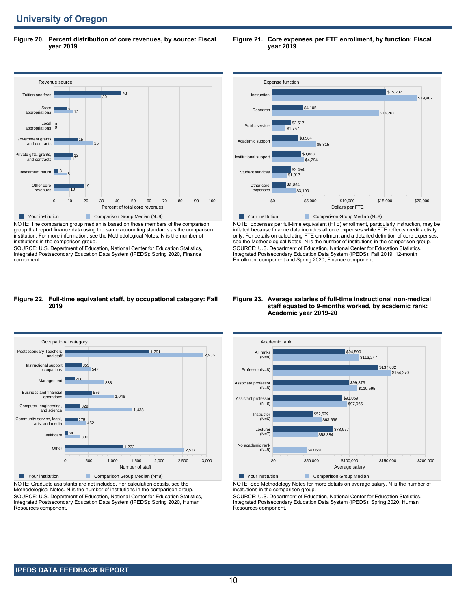# **University of Oregon**

**Figure 20. Percent distribution of core revenues, by source: Fiscal year 2019**



NOTE: The comparison group median is based on those members of the comparison group that report finance data using the same accounting standards as the comparison institution. For more information, see the Methodological Notes. N is the number of institutions in the comparison group.

SOURCE: U.S. Department of Education, National Center for Education Statistics, Integrated Postsecondary Education Data System (IPEDS): Spring 2020, Finance component.



Dollars per FTE **Your institution** Comparison Group Median (N=8)

NOTE: Expenses per full-time equivalent (FTE) enrollment, particularly instruction, may be inflated because finance data includes all core expenses while FTE reflects credit activity only. For details on calculating FTE enrollment and a detailed definition of core expenses, see the Methodological Notes. N is the number of institutions in the comparison group. SOURCE: U.S. Department of Education, National Center for Education Statistics, Integrated Postsecondary Education Data System (IPEDS): Fall 2019, 12-month Enrollment component and Spring 2020, Finance component.

\$0 \$5,000 \$10,000 \$15,000 \$20,000

#### **Figure 22. Full-time equivalent staff, by occupational category: Fall 2019**



NOTE: Graduate assistants are not included. For calculation details, see the Methodological Notes. N is the number of institutions in the comparison group. SOURCE: U.S. Department of Education, National Center for Education Statistics, Integrated Postsecondary Education Data System (IPEDS): Spring 2020, Human Resources component.

#### **Figure 23. Average salaries of full-time instructional non-medical staff equated to 9-months worked, by academic rank: Academic year 2019-20**



NOTE: See Methodology Notes for more details on average salary. N is the number of institutions in the comparison group.

SOURCE: U.S. Department of Education, National Center for Education Statistics, Integrated Postsecondary Education Data System (IPEDS): Spring 2020, Human Resources component.

**Figure 21. Core expenses per FTE enrollment, by function: Fiscal year 2019**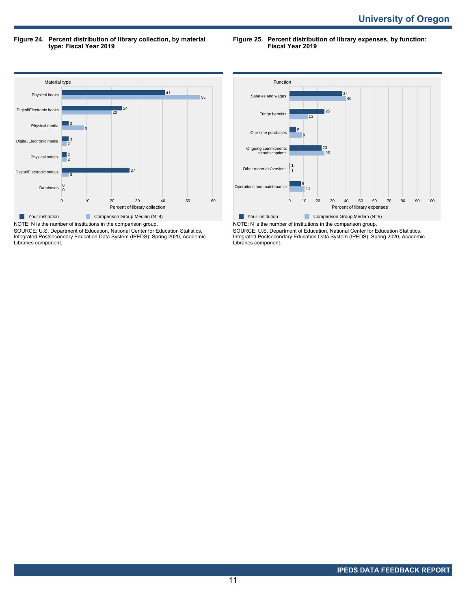**Figure 24. Percent distribution of library collection, by material type: Fiscal Year 2019**

**Figure 25. Percent distribution of library expenses, by function: Fiscal Year 2019**



SOURCE: U.S. Department of Education, National Center for Education Statistics, Integrated Postsecondary Education Data System (IPEDS): Spring 2020, Academic Libraries component.



NOTE: N is the number of institutions in the comparison group. SOURCE: U.S. Department of Education, National Center for Education Statistics, Integrated Postsecondary Education Data System (IPEDS): Spring 2020, Academic Libraries component.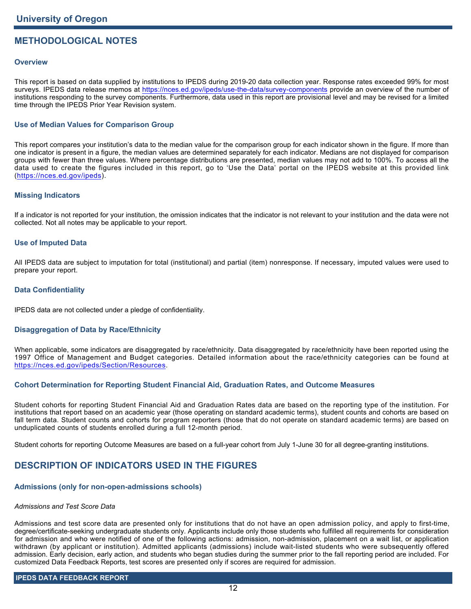## **METHODOLOGICAL NOTES**

#### **Overview**

This report is based on data supplied by institutions to IPEDS during 2019-20 data collection year. Response rates exceeded 99% for most surveys. IPEDS data release memos at <https://nces.ed.gov/ipeds/use-the-data/survey-components> provide an overview of the number of institutions responding to the survey components. Furthermore, data used in this report are provisional level and may be revised for a limited time through the IPEDS Prior Year Revision system.

#### **Use of Median Values for Comparison Group**

This report compares your institution's data to the median value for the comparison group for each indicator shown in the figure. If more than one indicator is present in a figure, the median values are determined separately for each indicator. Medians are not displayed for comparison groups with fewer than three values. Where percentage distributions are presented, median values may not add to 100%. To access all the data used to create the figures included in this report, go to 'Use the Data' portal on the IPEDS website at this provided link (<https://nces.ed.gov/ipeds>).

#### **Missing Indicators**

If a indicator is not reported for your institution, the omission indicates that the indicator is not relevant to your institution and the data were not collected. Not all notes may be applicable to your report.

#### **Use of Imputed Data**

All IPEDS data are subject to imputation for total (institutional) and partial (item) nonresponse. If necessary, imputed values were used to prepare your report.

#### **Data Confidentiality**

IPEDS data are not collected under a pledge of confidentiality.

## **Disaggregation of Data by Race/Ethnicity**

When applicable, some indicators are disaggregated by race/ethnicity. Data disaggregated by race/ethnicity have been reported using the 1997 Office of Management and Budget categories. Detailed information about the race/ethnicity categories can be found at <https://nces.ed.gov/ipeds/Section/Resources>.

#### **Cohort Determination for Reporting Student Financial Aid, Graduation Rates, and Outcome Measures**

Student cohorts for reporting Student Financial Aid and Graduation Rates data are based on the reporting type of the institution. For institutions that report based on an academic year (those operating on standard academic terms), student counts and cohorts are based on fall term data. Student counts and cohorts for program reporters (those that do not operate on standard academic terms) are based on unduplicated counts of students enrolled during a full 12-month period.

Student cohorts for reporting Outcome Measures are based on a full-year cohort from July 1-June 30 for all degree-granting institutions.

## **DESCRIPTION OF INDICATORS USED IN THE FIGURES**

#### **Admissions (only for non-open-admissions schools)**

#### *Admissions and Test Score Data*

Admissions and test score data are presented only for institutions that do not have an open admission policy, and apply to first-time, degree/certificate-seeking undergraduate students only. Applicants include only those students who fulfilled all requirements for consideration for admission and who were notified of one of the following actions: admission, non-admission, placement on a wait list, or application withdrawn (by applicant or institution). Admitted applicants (admissions) include wait-listed students who were subsequently offered admission. Early decision, early action, and students who began studies during the summer prior to the fall reporting period are included. For customized Data Feedback Reports, test scores are presented only if scores are required for admission.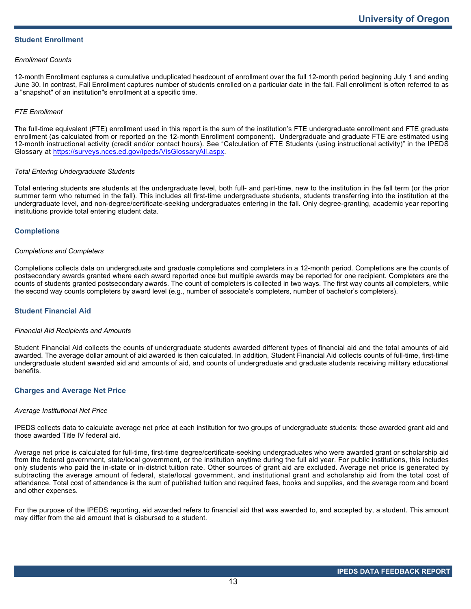#### **Student Enrollment**

#### *Enrollment Counts*

12-month Enrollment captures a cumulative unduplicated headcount of enrollment over the full 12-month period beginning July 1 and ending June 30. In contrast, Fall Enrollment captures number of students enrolled on a particular date in the fall. Fall enrollment is often referred to as a "snapshot" of an institution"s enrollment at a specific time.

#### *FTE Enrollment*

The full-time equivalent (FTE) enrollment used in this report is the sum of the institution's FTE undergraduate enrollment and FTE graduate enrollment (as calculated from or reported on the 12-month Enrollment component). Undergraduate and graduate FTE are estimated using 12-month instructional activity (credit and/or contact hours). See "Calculation of FTE Students (using instructional activity)" in the IPEDS Glossary at <https://surveys.nces.ed.gov/ipeds/VisGlossaryAll.aspx>.

#### *Total Entering Undergraduate Students*

Total entering students are students at the undergraduate level, both full- and part-time, new to the institution in the fall term (or the prior summer term who returned in the fall). This includes all first-time undergraduate students, students transferring into the institution at the undergraduate level, and non-degree/certificate-seeking undergraduates entering in the fall. Only degree-granting, academic year reporting institutions provide total entering student data.

#### **Completions**

#### *Completions and Completers*

Completions collects data on undergraduate and graduate completions and completers in a 12-month period. Completions are the counts of postsecondary awards granted where each award reported once but multiple awards may be reported for one recipient. Completers are the counts of students granted postsecondary awards. The count of completers is collected in two ways. The first way counts all completers, while the second way counts completers by award level (e.g., number of associate's completers, number of bachelor's completers).

#### **Student Financial Aid**

#### *Financial Aid Recipients and Amounts*

Student Financial Aid collects the counts of undergraduate students awarded different types of financial aid and the total amounts of aid awarded. The average dollar amount of aid awarded is then calculated. In addition, Student Financial Aid collects counts of full-time, first-time undergraduate student awarded aid and amounts of aid, and counts of undergraduate and graduate students receiving military educational benefits.

#### **Charges and Average Net Price**

#### *Average Institutional Net Price*

IPEDS collects data to calculate average net price at each institution for two groups of undergraduate students: those awarded grant aid and those awarded Title IV federal aid.

Average net price is calculated for full-time, first-time degree/certificate-seeking undergraduates who were awarded grant or scholarship aid from the federal government, state/local government, or the institution anytime during the full aid year. For public institutions, this includes only students who paid the in-state or in-district tuition rate. Other sources of grant aid are excluded. Average net price is generated by subtracting the average amount of federal, state/local government, and institutional grant and scholarship aid from the total cost of attendance. Total cost of attendance is the sum of published tuition and required fees, books and supplies, and the average room and board and other expenses.

For the purpose of the IPEDS reporting, aid awarded refers to financial aid that was awarded to, and accepted by, a student. This amount may differ from the aid amount that is disbursed to a student.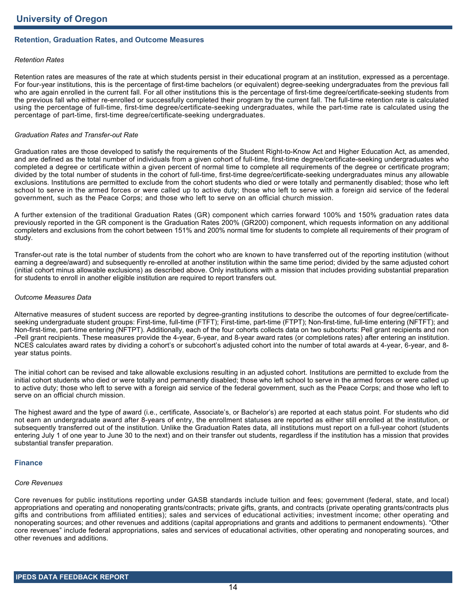#### **Retention, Graduation Rates, and Outcome Measures**

#### *Retention Rates*

Retention rates are measures of the rate at which students persist in their educational program at an institution, expressed as a percentage. For four-year institutions, this is the percentage of first-time bachelors (or equivalent) degree-seeking undergraduates from the previous fall who are again enrolled in the current fall. For all other institutions this is the percentage of first-time degree/certificate-seeking students from the previous fall who either re-enrolled or successfully completed their program by the current fall. The full-time retention rate is calculated using the percentage of full-time, first-time degree/certificate-seeking undergraduates, while the part-time rate is calculated using the percentage of part-time, first-time degree/certificate-seeking undergraduates.

#### *Graduation Rates and Transfer-out Rate*

Graduation rates are those developed to satisfy the requirements of the Student Right-to-Know Act and Higher Education Act, as amended, and are defined as the total number of individuals from a given cohort of full-time, first-time degree/certificate-seeking undergraduates who completed a degree or certificate within a given percent of normal time to complete all requirements of the degree or certificate program; divided by the total number of students in the cohort of full-time, first-time degree/certificate-seeking undergraduates minus any allowable exclusions. Institutions are permitted to exclude from the cohort students who died or were totally and permanently disabled; those who left school to serve in the armed forces or were called up to active duty; those who left to serve with a foreign aid service of the federal government, such as the Peace Corps; and those who left to serve on an official church mission.

A further extension of the traditional Graduation Rates (GR) component which carries forward 100% and 150% graduation rates data previously reported in the GR component is the Graduation Rates 200% (GR200) component, which requests information on any additional completers and exclusions from the cohort between 151% and 200% normal time for students to complete all requirements of their program of study.

Transfer-out rate is the total number of students from the cohort who are known to have transferred out of the reporting institution (without earning a degree/award) and subsequently re-enrolled at another institution within the same time period; divided by the same adjusted cohort (initial cohort minus allowable exclusions) as described above. Only institutions with a mission that includes providing substantial preparation for students to enroll in another eligible institution are required to report transfers out.

#### *Outcome Measures Data*

Alternative measures of student success are reported by degree-granting institutions to describe the outcomes of four degree/certificateseeking undergraduate student groups: First-time, full-time (FTFT); First-time, part-time (FTPT); Non-first-time, full-time entering (NFTFT); and Non-first-time, part-time entering (NFTPT). Additionally, each of the four cohorts collects data on two subcohorts: Pell grant recipients and non -Pell grant recipients. These measures provide the 4-year, 6-year, and 8-year award rates (or completions rates) after entering an institution. NCES calculates award rates by dividing a cohort's or subcohort's adjusted cohort into the number of total awards at 4-year, 6-year, and 8 year status points.

The initial cohort can be revised and take allowable exclusions resulting in an adjusted cohort. Institutions are permitted to exclude from the initial cohort students who died or were totally and permanently disabled; those who left school to serve in the armed forces or were called up to active duty; those who left to serve with a foreign aid service of the federal government, such as the Peace Corps; and those who left to serve on an official church mission.

The highest award and the type of award (i.e., certificate, Associate's, or Bachelor's) are reported at each status point. For students who did not earn an undergraduate award after 8-years of entry, the enrollment statuses are reported as either still enrolled at the institution, or subsequently transferred out of the institution. Unlike the Graduation Rates data, all institutions must report on a full-year cohort (students entering July 1 of one year to June 30 to the next) and on their transfer out students, regardless if the institution has a mission that provides substantial transfer preparation.

#### **Finance**

#### *Core Revenues*

Core revenues for public institutions reporting under GASB standards include tuition and fees; government (federal, state, and local) appropriations and operating and nonoperating grants/contracts; private gifts, grants, and contracts (private operating grants/contracts plus gifts and contributions from affiliated entities); sales and services of educational activities; investment income; other operating and nonoperating sources; and other revenues and additions (capital appropriations and grants and additions to permanent endowments). "Other core revenues" include federal appropriations, sales and services of educational activities, other operating and nonoperating sources, and other revenues and additions.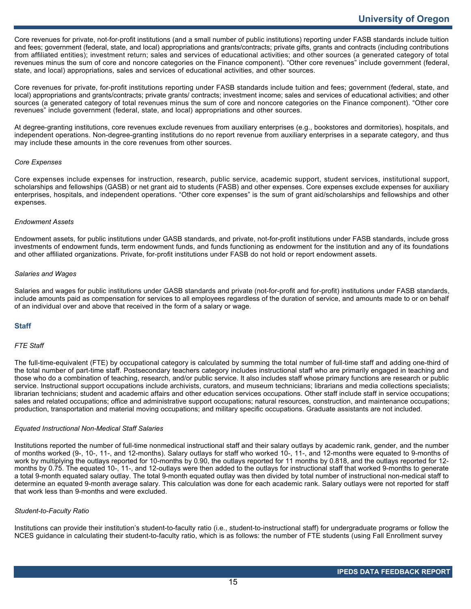Core revenues for private, not-for-profit institutions (and a small number of public institutions) reporting under FASB standards include tuition and fees; government (federal, state, and local) appropriations and grants/contracts; private gifts, grants and contracts (including contributions from affiliated entities); investment return; sales and services of educational activities; and other sources (a generated category of total revenues minus the sum of core and noncore categories on the Finance component). "Other core revenues" include government (federal, state, and local) appropriations, sales and services of educational activities, and other sources.

Core revenues for private, for-profit institutions reporting under FASB standards include tuition and fees; government (federal, state, and local) appropriations and grants/contracts; private grants/ contracts; investment income; sales and services of educational activities; and other sources (a generated category of total revenues minus the sum of core and noncore categories on the Finance component). "Other core revenues" include government (federal, state, and local) appropriations and other sources.

At degree-granting institutions, core revenues exclude revenues from auxiliary enterprises (e.g., bookstores and dormitories), hospitals, and independent operations. Non-degree-granting institutions do no report revenue from auxiliary enterprises in a separate category, and thus may include these amounts in the core revenues from other sources.

#### *Core Expenses*

Core expenses include expenses for instruction, research, public service, academic support, student services, institutional support, scholarships and fellowships (GASB) or net grant aid to students (FASB) and other expenses. Core expenses exclude expenses for auxiliary enterprises, hospitals, and independent operations. "Other core expenses" is the sum of grant aid/scholarships and fellowships and other expenses.

#### *Endowment Assets*

Endowment assets, for public institutions under GASB standards, and private, not-for-profit institutions under FASB standards, include gross investments of endowment funds, term endowment funds, and funds functioning as endowment for the institution and any of its foundations and other affiliated organizations. Private, for-profit institutions under FASB do not hold or report endowment assets.

#### *Salaries and Wages*

Salaries and wages for public institutions under GASB standards and private (not-for-profit and for-profit) institutions under FASB standards, include amounts paid as compensation for services to all employees regardless of the duration of service, and amounts made to or on behalf of an individual over and above that received in the form of a salary or wage.

#### **Staff**

#### *FTE Staff*

The full-time-equivalent (FTE) by occupational category is calculated by summing the total number of full-time staff and adding one-third of the total number of part-time staff. Postsecondary teachers category includes instructional staff who are primarily engaged in teaching and those who do a combination of teaching, research, and/or public service. It also includes staff whose primary functions are research or public service. Instructional support occupations include archivists, curators, and museum technicians; librarians and media collections specialists; librarian technicians; student and academic affairs and other education services occupations. Other staff include staff in service occupations; sales and related occupations; office and administrative support occupations; natural resources, construction, and maintenance occupations; production, transportation and material moving occupations; and military specific occupations. Graduate assistants are not included.

#### *Equated Instructional Non-Medical Staff Salaries*

Institutions reported the number of full-time nonmedical instructional staff and their salary outlays by academic rank, gender, and the number of months worked (9-, 10-, 11-, and 12-months). Salary outlays for staff who worked 10-, 11-, and 12-months were equated to 9-months of work by multiplying the outlays reported for 10-months by 0.90, the outlays reported for 11 months by 0.818, and the outlays reported for 12 months by 0.75. The equated 10-, 11-, and 12-outlays were then added to the outlays for instructional staff that worked 9-months to generate a total 9-month equated salary outlay. The total 9-month equated outlay was then divided by total number of instructional non-medical staff to determine an equated 9-month average salary. This calculation was done for each academic rank. Salary outlays were not reported for staff that work less than 9-months and were excluded.

#### *Student-to-Faculty Ratio*

Institutions can provide their institution's student-to-faculty ratio (i.e., student-to-instructional staff) for undergraduate programs or follow the NCES guidance in calculating their student-to-faculty ratio, which is as follows: the number of FTE students (using Fall Enrollment survey